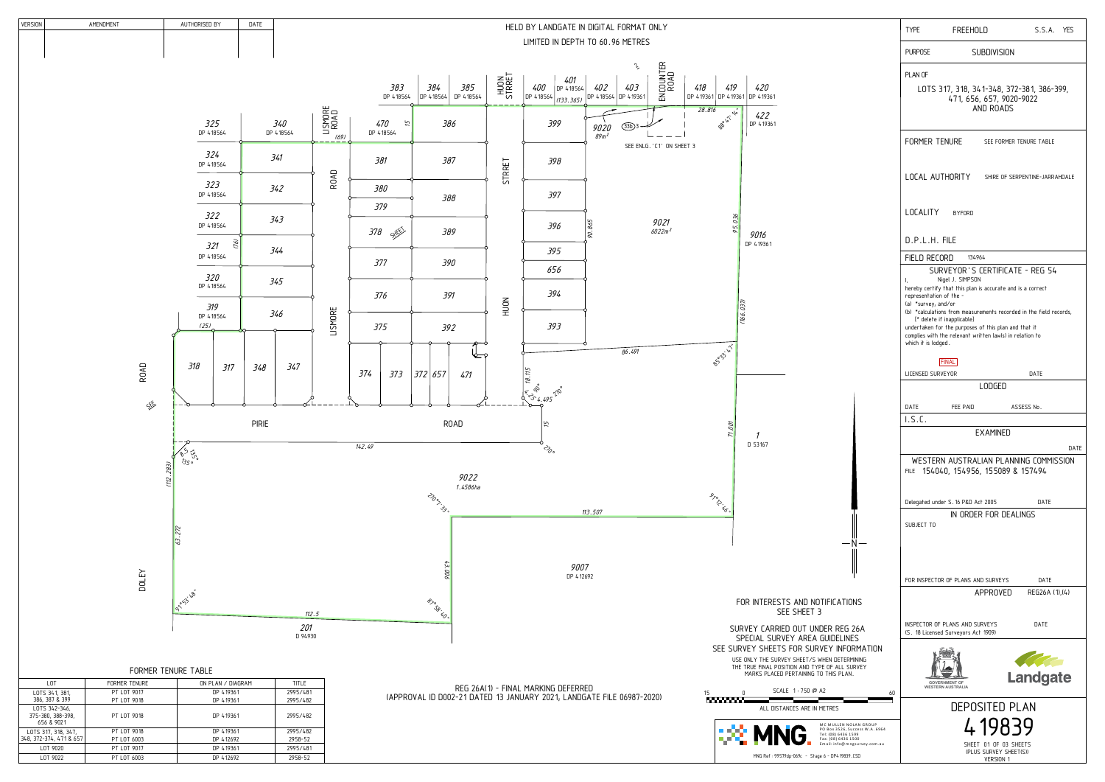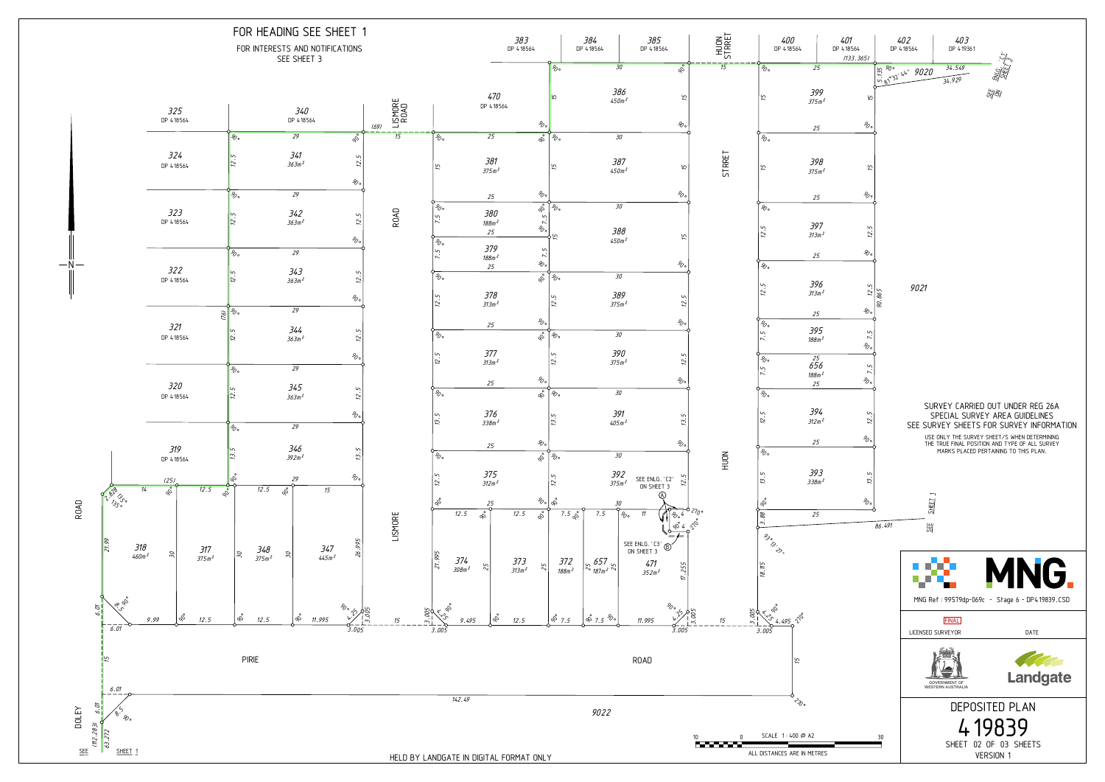

HELD BY LANDGATE IN DIGITAL FORMAT ONLY

## FOR HEADING SEE SHEET 1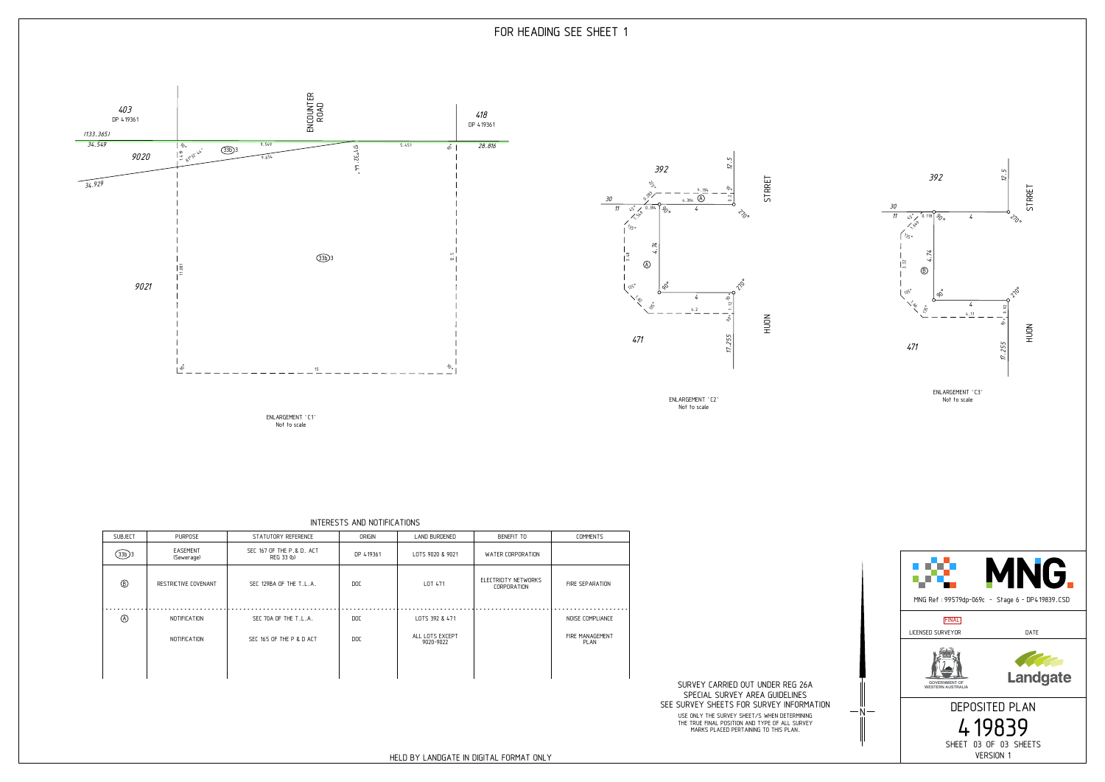Not to scale ENLARGEMENT 'C1'



INTERESTS AND NOTIFICATIONS

| <b>SUBJECT</b> | <b>PURPOSE</b>         | STATUTORY REFERENCE                     | ORIGIN     | LAND BURDENED                | BENEFIT TO                                 | <b>COMMENTS</b>                |
|----------------|------------------------|-----------------------------------------|------------|------------------------------|--------------------------------------------|--------------------------------|
| $(33b)$ 3      | EASEMENT<br>(Sewerage) | SEC 167 OF THE P.& D. ACT<br>REG 33 (b) | DP 419361  | LOTS 9020 & 9021             | WATER CORPORATION                          |                                |
| $^{\circledR}$ | RESTRICTIVE COVENANT   | SEC 129BA OF THE T.L.A.                 | DOC        | LOT 471                      | ELECTRICITY NETWORKS<br><b>CORPORATION</b> | FIRE SEPARATION                |
| $\circledA$    | NOTIFICATION           | SEC 70A OF THE T.L.A.                   | DOC        | LOTS 392 & 471               |                                            | NOISE COMPLIANCE               |
|                | NOTIFICATION           | SEC 165 OF THE P & D ACT                | <b>DOC</b> | ALL LOTS EXCEPT<br>9020-9022 |                                            | FIRE MANAGEMENT<br><b>PLAN</b> |
|                |                        |                                         |            |                              |                                            |                                |